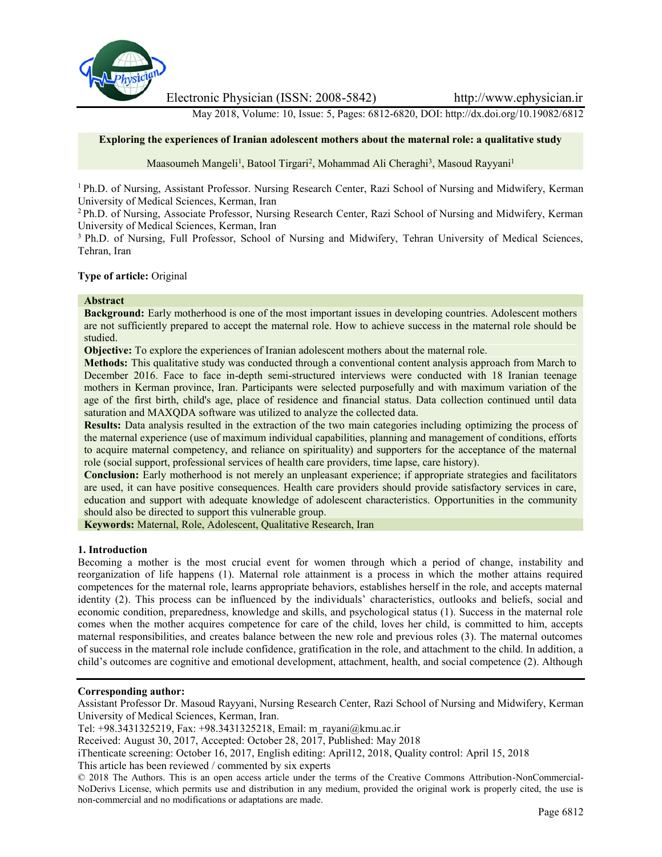

Electronic Physician (ISSN: 2008-5842) http://www.ephysician.ir

May 2018, Volume: 10, Issue: 5, Pages: 6812-6820, DOI: http://dx.doi.org/10.19082/6812

### **Exploring the experiences of Iranian adolescent mothers about the maternal role: a qualitative study**

Maasoumeh Mangeli<sup>1</sup>, Batool Tirgari<sup>2</sup>, Mohammad Ali Cheraghi<sup>3</sup>, Masoud Rayyani<sup>1</sup>

<sup>1</sup> Ph.D. of Nursing, Assistant Professor. Nursing Research Center, Razi School of Nursing and Midwifery, Kerman University of Medical Sciences, Kerman, Iran

<sup>2</sup> Ph.D. of Nursing, Associate Professor, Nursing Research Center, Razi School of Nursing and Midwifery, Kerman University of Medical Sciences, Kerman, Iran

<sup>3</sup> Ph.D. of Nursing, Full Professor, School of Nursing and Midwifery, Tehran University of Medical Sciences, Tehran, Iran

# **Type of article:** Original

## **Abstract**

**Background:** Early motherhood is one of the most important issues in developing countries. Adolescent mothers are not sufficiently prepared to accept the maternal role. How to achieve success in the maternal role should be studied.

**Objective:** To explore the experiences of Iranian adolescent mothers about the maternal role.

**Methods:** This qualitative study was conducted through a conventional content analysis approach from March to December 2016. Face to face in-depth semi-structured interviews were conducted with 18 Iranian teenage mothers in Kerman province, Iran. Participants were selected purposefully and with maximum variation of the age of the first birth, child's age, place of residence and financial status. Data collection continued until data saturation and MAXQDA software was utilized to analyze the collected data.

**Results:** Data analysis resulted in the extraction of the two main categories including optimizing the process of the maternal experience (use of maximum individual capabilities, planning and management of conditions, efforts to acquire maternal competency, and reliance on spirituality) and supporters for the acceptance of the maternal role (social support, professional services of health care providers, time lapse, care history).

**Conclusion:** Early motherhood is not merely an unpleasant experience; if appropriate strategies and facilitators are used, it can have positive consequences. Health care providers should provide satisfactory services in care, education and support with adequate knowledge of adolescent characteristics. Opportunities in the community should also be directed to support this vulnerable group.

**Keywords:** Maternal, Role, Adolescent, Qualitative Research, Iran

### **1. Introduction**

Becoming a mother is the most crucial event for women through which a period of change, instability and reorganization of life happens (1). Maternal role attainment is a process in which the mother attains required competences for the maternal role, learns appropriate behaviors, establishes herself in the role, and accepts maternal identity (2). This process can be influenced by the individuals' characteristics, outlooks and beliefs, social and economic condition, preparedness, knowledge and skills, and psychological status (1). Success in the maternal role comes when the mother acquires competence for care of the child, loves her child, is committed to him, accepts maternal responsibilities, and creates balance between the new role and previous roles (3). The maternal outcomes of success in the maternal role include confidence, gratification in the role, and attachment to the child. In addition, a child's outcomes are cognitive and emotional development, attachment, health, and social competence (2). Although

## **Corresponding author:**

Assistant Professor Dr. Masoud Rayyani, Nursing Research Center, Razi School of Nursing and Midwifery, Kerman University of Medical Sciences, Kerman, Iran.

Tel: +98.3431325219, Fax: +98.3431325218, Email: m\_rayani@kmu.ac.ir

Received: August 30, 2017, Accepted: October 28, 2017, Published: May 2018

iThenticate screening: October 16, 2017, English editing: April12, 2018, Quality control: April 15, 2018

This article has been reviewed / commented by six experts

© 2018 The Authors. This is an open access article under the terms of the Creative Commons Attribution-NonCommercial- NoDerivs License, which permits use and distribution in any medium, provided the original work is properly cited, the use is non-commercial and no modifications or adaptations are made.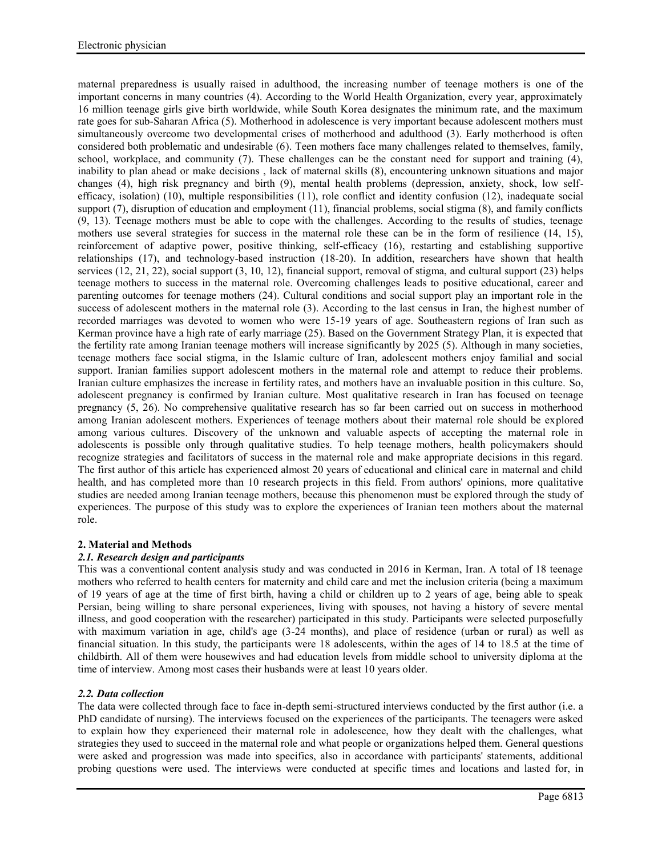maternal preparedness is usually raised in adulthood, the increasing number of teenage mothers is one of the important concerns in many countries (4). According to the World Health Organization, every year, approximately 16 million teenage girls give birth worldwide, while South Korea designates the minimum rate, and the maximum rate goes for sub-Saharan Africa (5). Motherhood in adolescence is very important because adolescent mothers must simultaneously overcome two developmental crises of motherhood and adulthood (3). Early motherhood is often considered both problematic and undesirable (6). Teen mothers face many challenges related to themselves, family, school, workplace, and community (7). These challenges can be the constant need for support and training (4), inability to plan ahead or make decisions , lack of maternal skills (8), encountering unknown situations and major changes (4), high risk pregnancy and birth (9), mental health problems (depression, anxiety, shock, low self efficacy, isolation) (10), multiple responsibilities (11), role conflict and identity confusion (12), inadequate social support (7), disruption of education and employment (11), financial problems, social stigma (8), and family conflicts  $(9, 13)$ . Teenage mothers must be able to cope with the challenges. According to the results of studies, teenage mothers use several strategies for success in the maternal role these can be in the form of resilience (14, 15), reinforcement of adaptive power, positive thinking, self-efficacy (16), restarting and establishing supportive relationships (17), and technology-based instruction (18-20). In addition, researchers have shown that health services (12, 21, 22), social support (3, 10, 12), financial support, removal of stigma, and cultural support (23) helps teenage mothers to success in the maternal role. Overcoming challenges leads to positive educational, career and parenting outcomes for teenage mothers (24). Cultural conditions and social support play an important role in the success of adolescent mothers in the maternal role (3). According to the last census in Iran, the highest number of recorded marriages was devoted to women who were 15-19 years of age. Southeastern regions of Iran such as Kerman province have a high rate of early marriage (25). Based on the Government Strategy Plan, it is expected that the fertility rate among Iranian teenage mothers will increase significantly by 2025 (5). Although in many societies, teenage mothers face social stigma, in the Islamic culture of Iran, adolescent mothers enjoy familial and social support. Iranian families support adolescent mothers in the maternal role and attempt to reduce their problems. Iranian culture emphasizes the increase in fertility rates, and mothers have an invaluable position in this culture. So, adolescent pregnancy is confirmed by Iranian culture. Most qualitative research in Iran has focused on teenage pregnancy (5, 26). No comprehensive qualitative research has so far been carried out on success in motherhood among Iranian adolescent mothers. Experiences of teenage mothers about their maternal role should be explored among various cultures. Discovery of the unknown and valuable aspects of accepting the maternal role in adolescents is possible only through qualitative studies. To help teenage mothers, health policymakers should recognize strategies and facilitators of success in the maternal role and make appropriate decisions in this regard. The first author of this article has experienced almost 20 years of educational and clinical care in maternal and child health, and has completed more than 10 research projects in this field. From authors' opinions, more qualitative studies are needed among Iranian teenage mothers, because this phenomenon must be explored through the study of experiences. The purpose of this study was to explore the experiences of Iranian teen mothers about the maternal role.

## **2. Material and Methods**

## *2.1. Research design and participants*

This was a conventional content analysis study and was conducted in 2016 in Kerman, Iran. A total of 18 teenage mothers who referred to health centers for maternity and child care and met the inclusion criteria (being a maximum of 19 years of age at the time of first birth, having a child or children up to 2 years of age, being able to speak Persian, being willing to share personal experiences, living with spouses, not having a history of severe mental illness, and good cooperation with the researcher) participated in this study. Participants were selected purposefully with maximum variation in age, child's age (3-24 months), and place of residence (urban or rural) as well as financial situation. In this study, the participants were 18 adolescents, within the ages of 14 to 18.5 at the time of childbirth. All of them were housewives and had education levels from middle school to university diploma at the time of interview. Among most cases their husbands were at least 10 years older.

## *2.2. Data collection*

The data were collected through face to face in-depth semi-structured interviews conducted by the first author (i.e. a PhD candidate of nursing). The interviews focused on the experiences of the participants. The teenagers were asked to explain how they experienced their maternal role in adolescence, how they dealt with the challenges, what strategies they used to succeed in the maternal role and what people or organizations helped them. General questions were asked and progression was made into specifics, also in accordance with participants' statements, additional probing questions were used. The interviews were conducted at specific times and locations and lasted for, in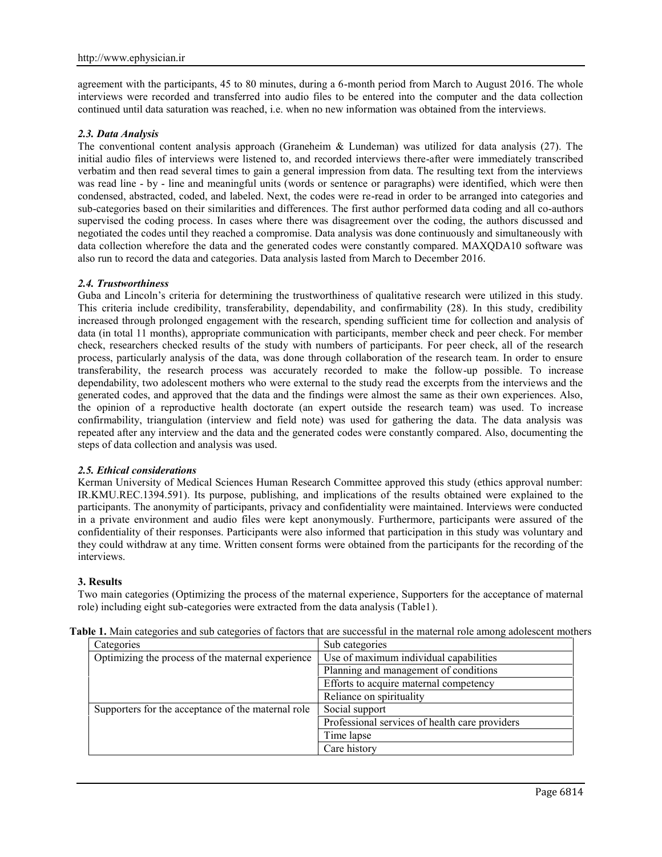agreement with the participants, 45 to 80 minutes, during a 6-month period from March to August 2016. The whole interviews were recorded and transferred into audio files to be entered into the computer and the data collection continued until data saturation was reached, i.e. when no new information was obtained from the interviews.

## *2.3. Data Analysis*

The conventional content analysis approach (Graneheim & Lundeman) was utilized for data analysis (27). The initial audio files of interviews were listened to, and recorded interviews there-after were immediately transcribed verbatim and then read several times to gain a general impression from data. The resulting text from the interviews was read line - by - line and meaningful units (words or sentence or paragraphs) were identified, which were then condensed, abstracted, coded, and labeled. Next, the codes were re-read in order to be arranged into categories and sub-categories based on their similarities and differences. The first author performed data coding and all co-authors supervised the coding process. In cases where there was disagreement over the coding, the authors discussed and negotiated the codes until they reached a compromise. Data analysis was done continuously and simultaneously with data collection wherefore the data and the generated codes were constantly compared. MAXQDA10 software was also run to record the data and categories. Data analysis lasted from March to December 2016.

### *2.4. Trustworthiness*

Guba and Lincoln's criteria for determining the trustworthiness of qualitative research were utilized in this study. This criteria include credibility, transferability, dependability, and confirmability (28). In this study, credibility increased through prolonged engagement with the research, spending sufficient time for collection and analysis of data (in total 11 months), appropriate communication with participants, member check and peer check. For member check, researchers checked results of the study with numbers of participants. For peer check, all of the research process, particularly analysis of the data, was done through collaboration of the research team. In order to ensure transferability, the research process was accurately recorded to make the follow-up possible. To increase dependability, two adolescent mothers who were external to the study read the excerpts from the interviews and the generated codes, and approved that the data and the findings were almost the same as their own experiences. Also, the opinion of a reproductive health doctorate (an expert outside the research team) was used. To increase confirmability, triangulation (interview and field note) was used for gathering the data. The data analysis was repeated after any interview and the data and the generated codes were constantly compared. Also, documenting the steps of data collection and analysis was used.

### *2.5. Ethical considerations*

Kerman University of Medical Sciences Human Research Committee approved this study (ethics approval number: IR.KMU.REC.1394.591). Its purpose, publishing, and implications of the results obtained were explained to the participants. The anonymity of participants, privacy and confidentiality were maintained. Interviews were conducted in a private environment and audio files were kept anonymously. Furthermore, participants were assured of the confidentiality of their responses. Participants were also informed that participation in this study was voluntary and they could withdraw at any time. Written consent forms were obtained from the participants for the recording of the interviews.

### **3. Results**

Two main categories (Optimizing the process of the maternal experience, Supporters for the acceptance of maternal role) including eight sub-categories were extracted from the data analysis (Table1).

| Categories                                         | Sub categories                                 |
|----------------------------------------------------|------------------------------------------------|
| Optimizing the process of the maternal experience  | Use of maximum individual capabilities         |
|                                                    | Planning and management of conditions          |
|                                                    | Efforts to acquire maternal competency         |
|                                                    | Reliance on spirituality                       |
| Supporters for the acceptance of the maternal role | Social support                                 |
|                                                    | Professional services of health care providers |
|                                                    | Time lapse                                     |
|                                                    | Care history                                   |

**Table 1.** Main categories and sub categories of factors that are successful in the maternal role among adolescent mothers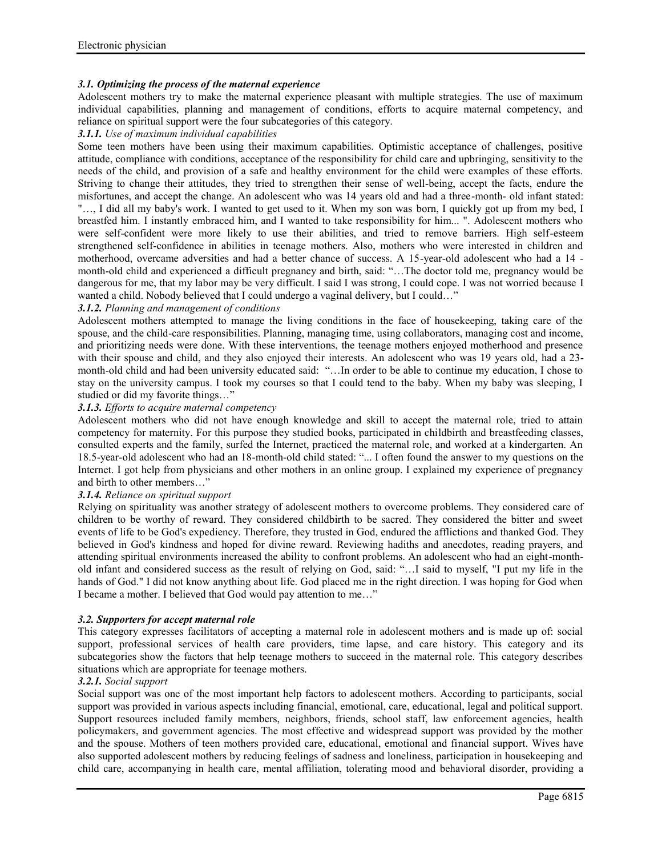## *3.1. Optimizing the process of the maternal experience*

Adolescent mothers try to make the maternal experience pleasant with multiple strategies. The use of maximum individual capabilities, planning and management of conditions, efforts to acquire maternal competency, and reliance on spiritual support were the four subcategories of this category.

## *3.1.1. Use of maximum individual capabilities*

Some teen mothers have been using their maximum capabilities. Optimistic acceptance of challenges, positive attitude, compliance with conditions, acceptance of the responsibility for child care and upbringing, sensitivity to the needs of the child, and provision of a safe and healthy environment for the child were examples of these efforts. Striving to change their attitudes, they tried to strengthen their sense of well-being, accept the facts, endure the misfortunes, and accept the change. An adolescent who was 14 years old and had a three-month- old infant stated: "…, I did all my baby's work. I wanted to get used to it. When my son was born, I quickly got up from my bed, I breastfed him. I instantly embraced him, and I wanted to take responsibility for him... ". Adolescent mothers who were self-confident were more likely to use their abilities, and tried to remove barriers. High self-esteem strengthened self-confidence in abilities in teenage mothers. Also, mothers who were interested in children and motherhood, overcame adversities and had a better chance of success. A 15-year-old adolescent who had a 14 month-old child and experienced a difficult pregnancy and birth, said: "…The doctor told me, pregnancy would be dangerous for me, that my labor may be very difficult. I said I was strong, I could cope. I was not worried because I wanted a child. Nobody believed that I could undergo a vaginal delivery, but I could…"

## *3.1.2. Planning and management of conditions*

Adolescent mothers attempted to manage the living conditions in the face of housekeeping, taking care of the spouse, and the child-care responsibilities. Planning, managing time, using collaborators, managing cost and income, and prioritizing needs were done. With these interventions, the teenage mothers enjoyed motherhood and presence with their spouse and child, and they also enjoyed their interests. An adolescent who was 19 years old, had a 23month-old child and had been university educated said: "…In order to be able to continue my education, I chose to stay on the university campus. I took my courses so that I could tend to the baby. When my baby was sleeping, I studied or did my favorite things…"

## *3.1.3. Efforts to acquire maternal competency*

Adolescent mothers who did not have enough knowledge and skill to accept the maternal role, tried to attain competency for maternity. For this purpose they studied books, participated in childbirth and breastfeeding classes, consulted experts and the family, surfed the Internet, practiced the maternal role, and worked at a kindergarten. An 18.5-year-old adolescent who had an 18-month-old child stated: "... I often found the answer to my questions on the Internet. I got help from physicians and other mothers in an online group. I explained my experience of pregnancy and birth to other members…"

## *3.1.4. Reliance on spiritual support*

Relying on spirituality was another strategy of adolescent mothers to overcome problems. They considered care of children to be worthy of reward. They considered childbirth to be sacred. They considered the bitter and sweet events of life to be God's expediency. Therefore, they trusted in God, endured the afflictions and thanked God. They believed in God's kindness and hoped for divine reward. Reviewing hadiths and anecdotes, reading prayers, and attending spiritual environments increased the ability to confront problems. An adolescent who had an eight-month old infant and considered success as the result of relying on God, said: "…I said to myself, "I put my life in the hands of God." I did not know anything about life. God placed me in the right direction. I was hoping for God when I became a mother. I believed that God would pay attention to me…"

### *3.2. Supporters for accept maternal role*

This category expresses facilitators of accepting a maternal role in adolescent mothers and is made up of: social support, professional services of health care providers, time lapse, and care history. This category and its subcategories show the factors that help teenage mothers to succeed in the maternal role. This category describes situations which are appropriate for teenage mothers.

### *3.2.1. Social support*

Social support was one of the most important help factors to adolescent mothers. According to participants, social support was provided in various aspects including financial, emotional, care, educational, legal and political support. Support resources included family members, neighbors, friends, school staff, law enforcement agencies, health policymakers, and government agencies. The most effective and widespread support was provided by the mother and the spouse. Mothers of teen mothers provided care, educational, emotional and financial support. Wives have also supported adolescent mothers by reducing feelings of sadness and loneliness, participation in housekeeping and child care, accompanying in health care, mental affiliation, tolerating mood and behavioral disorder, providing a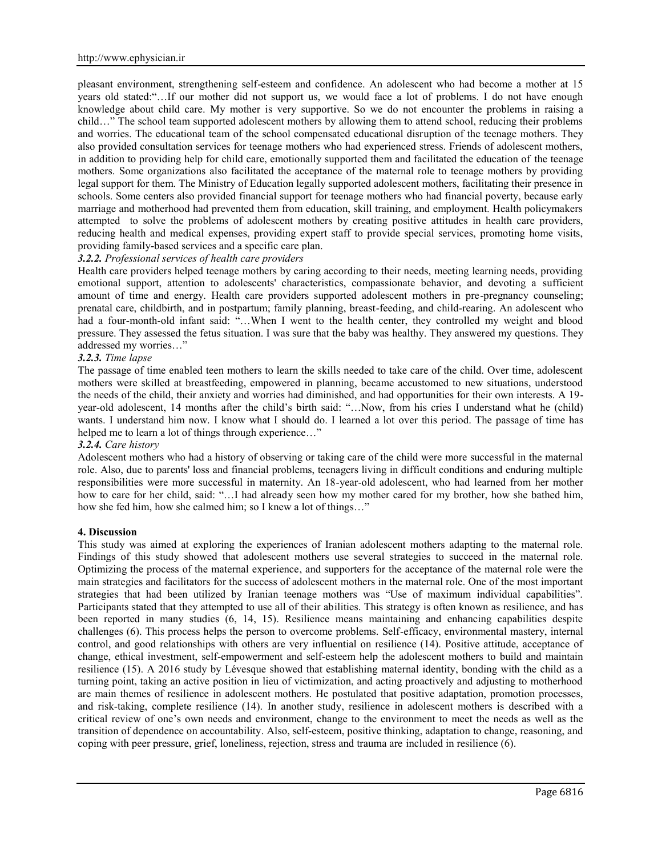pleasant environment, strengthening self-esteem and confidence. An adolescent who had become a mother at 15 years old stated:"…If our mother did not support us, we would face a lot of problems. I do not have enough knowledge about child care. My mother is very supportive. So we do not encounter the problems in raising a child…" The school team supported adolescent mothers by allowing them to attend school, reducing their problems and worries. The educational team of the school compensated educational disruption of the teenage mothers. They also provided consultation services for teenage mothers who had experienced stress. Friends of adolescent mothers, in addition to providing help for child care, emotionally supported them and facilitated the education of the teenage mothers. Some organizations also facilitated the acceptance of the maternal role to teenage mothers by providing legal support for them. The Ministry of Education legally supported adolescent mothers, facilitating their presence in schools. Some centers also provided financial support for teenage mothers who had financial poverty, because early marriage and motherhood had prevented them from education, skill training, and employment. Health policymakers attempted to solve the problems of adolescent mothers by creating positive attitudes in health care providers, reducing health and medical expenses, providing expert staff to provide special services, promoting home visits, providing family-based services and a specific care plan.

## *3.2.2. Professional services of health care providers*

Health care providers helped teenage mothers by caring according to their needs, meeting learning needs, providing emotional support, attention to adolescents' characteristics, compassionate behavior, and devoting a sufficient amount of time and energy. Health care providers supported adolescent mothers in pre-pregnancy counseling; prenatal care, childbirth, and in postpartum; family planning, breast-feeding, and child-rearing. An adolescent who had a four-month-old infant said: "...When I went to the health center, they controlled my weight and blood pressure. They assessed the fetus situation. I was sure that the baby was healthy. They answered my questions. They addressed my worries…"

## *3.2.3. Time lapse*

The passage of time enabled teen mothers to learn the skills needed to take care of the child. Over time, adolescent mothers were skilled at breastfeeding, empowered in planning, became accustomed to new situations, understood the needs of the child, their anxiety and worries had diminished, and had opportunities for their own interests. A 19 year-old adolescent, 14 months after the child's birth said: "…Now, from his cries I understand what he (child) wants. I understand him now. I know what I should do. I learned a lot over this period. The passage of time has helped me to learn a lot of things through experience..."

### *3.2.4. Care history*

Adolescent mothers who had a history of observing or taking care of the child were more successful in the maternal role. Also, due to parents' loss and financial problems, teenagers living in difficult conditions and enduring multiple responsibilities were more successful in maternity. An 18-year-old adolescent, who had learned from her mother how to care for her child, said: "...I had already seen how my mother cared for my brother, how she bathed him, how she fed him, how she calmed him; so I knew a lot of things…"

### **4. Discussion**

This study was aimed at exploring the experiences of Iranian adolescent mothers adapting to the maternal role. Findings of this study showed that adolescent mothers use several strategies to succeed in the maternal role. Optimizing the process of the maternal experience, and supporters for the acceptance of the maternal role were the main strategies and facilitators for the success of adolescent mothers in the maternal role. One of the most important strategies that had been utilized by Iranian teenage mothers was "Use of maximum individual capabilities". Participants stated that they attempted to use all of their abilities. This strategy is often known as resilience, and has been reported in many studies (6, 14, 15). Resilience means maintaining and enhancing capabilities despite challenges (6). This process helps the person to overcome problems. Self-efficacy, environmental mastery, internal control, and good relationships with others are very influential on resilience (14). Positive attitude, acceptance of change, ethical investment, self-empowerment and self-esteem help the adolescent mothers to build and maintain resilience (15). A 2016 study by Lévesque showed that establishing maternal identity, bonding with the child as a turning point, taking an active position in lieu of victimization, and acting proactively and adjusting to motherhood are main themes of resilience in adolescent mothers. He postulated that positive adaptation, promotion processes, and risk-taking, complete resilience (14). In another study, resilience in adolescent mothers is described with a critical review of one's own needs and environment, change to the environment to meet the needs as well as the transition of dependence on accountability. Also, self-esteem, positive thinking, adaptation to change, reasoning, and coping with peer pressure, grief, loneliness, rejection, stress and trauma are included in resilience (6).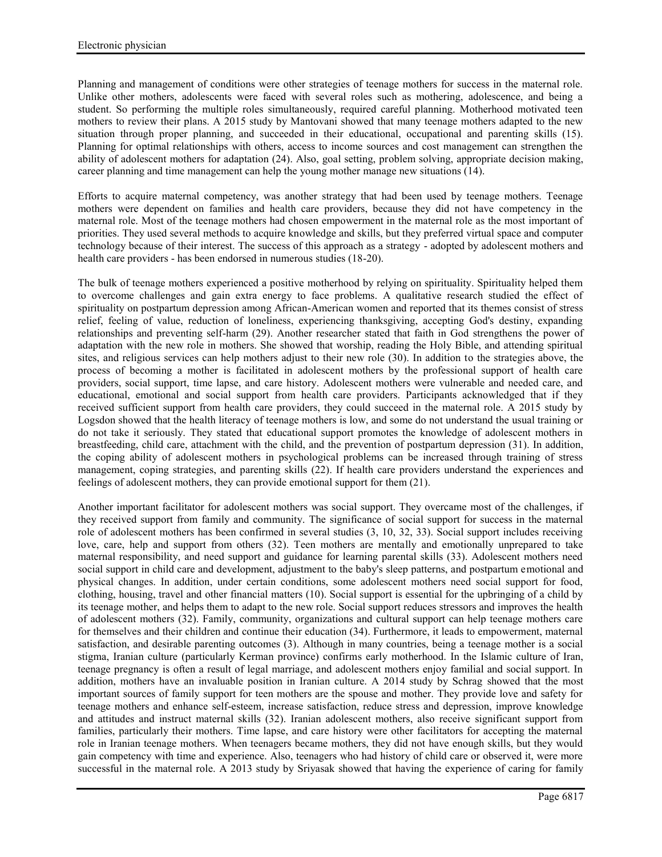Planning and management of conditions were other strategies of teenage mothers for success in the maternal role. Unlike other mothers, adolescents were faced with several roles such as mothering, adolescence, and being a student. So performing the multiple roles simultaneously, required careful planning. Motherhood motivated teen mothers to review their plans. A 2015 study by Mantovani showed that many teenage mothers adapted to the new situation through proper planning, and succeeded in their educational, occupational and parenting skills (15). Planning for optimal relationships with others, access to income sources and cost management can strengthen the ability of adolescent mothers for adaptation (24). Also, goal setting, problem solving, appropriate decision making, career planning and time management can help the young mother manage new situations (14).

Efforts to acquire maternal competency, was another strategy that had been used by teenage mothers. Teenage mothers were dependent on families and health care providers, because they did not have competency in the maternal role. Most of the teenage mothers had chosen empowerment in the maternal role as the most important of priorities. They used several methods to acquire knowledge and skills, but they preferred virtual space and computer technology because of their interest. The success of this approach as a strategy - adopted by adolescent mothers and health care providers - has been endorsed in numerous studies (18-20).

The bulk of teenage mothers experienced a positive motherhood by relying on spirituality. Spirituality helped them to overcome challenges and gain extra energy to face problems. A qualitative research studied the effect of spirituality on postpartum depression among African-American women and reported that its themes consist of stress relief, feeling of value, reduction of loneliness, experiencing thanksgiving, accepting God's destiny, expanding relationships and preventing self-harm (29). Another researcher stated that faith in God strengthens the power of adaptation with the new role in mothers. She showed that worship, reading the Holy Bible, and attending spiritual sites, and religious services can help mothers adjust to their new role (30). In addition to the strategies above, the process of becoming a mother is facilitated in adolescent mothers by the professional support of health care providers, social support, time lapse, and care history. Adolescent mothers were vulnerable and needed care, and educational, emotional and social support from health care providers. Participants acknowledged that if they received sufficient support from health care providers, they could succeed in the maternal role. A 2015 study by Logsdon showed that the health literacy of teenage mothers is low, and some do not understand the usual training or do not take it seriously. They stated that educational support promotes the knowledge of adolescent mothers in breastfeeding, child care, attachment with the child, and the prevention of postpartum depression (31). In addition, the coping ability of adolescent mothers in psychological problems can be increased through training of stress management, coping strategies, and parenting skills (22). If health care providers understand the experiences and feelings of adolescent mothers, they can provide emotional support for them (21).

Another important facilitator for adolescent mothers was social support. They overcame most of the challenges, if they received support from family and community. The significance of social support for success in the maternal role of adolescent mothers has been confirmed in several studies (3, 10, 32, 33). Social support includes receiving love, care, help and support from others (32). Teen mothers are mentally and emotionally unprepared to take maternal responsibility, and need support and guidance for learning parental skills (33). Adolescent mothers need social support in child care and development, adjustment to the baby's sleep patterns, and postpartum emotional and physical changes. In addition, under certain conditions, some adolescent mothers need social support for food, clothing, housing, travel and other financial matters (10). Social support is essential for the upbringing of a child by its teenage mother, and helps them to adapt to the new role. Social support reduces stressors and improves the health of adolescent mothers (32). Family, community, organizations and cultural support can help teenage mothers care for themselves and their children and continue their education (34). Furthermore, it leads to empowerment, maternal satisfaction, and desirable parenting outcomes (3). Although in many countries, being a teenage mother is a social stigma, Iranian culture (particularly Kerman province) confirms early motherhood. In the Islamic culture of Iran, teenage pregnancy is often a result of legal marriage, and adolescent mothers enjoy familial and social support. In addition, mothers have an invaluable position in Iranian culture. A 2014 study by Schrag showed that the most important sources of family support for teen mothers are the spouse and mother. They provide love and safety for teenage mothers and enhance self-esteem, increase satisfaction, reduce stress and depression, improve knowledge and attitudes and instruct maternal skills (32). Iranian adolescent mothers, also receive significant support from families, particularly their mothers. Time lapse, and care history were other facilitators for accepting the maternal role in Iranian teenage mothers. When teenagers became mothers, they did not have enough skills, but they would gain competency with time and experience. Also, teenagers who had history of child care or observed it, were more successful in the maternal role. A 2013 study by Sriyasak showed that having the experience of caring for family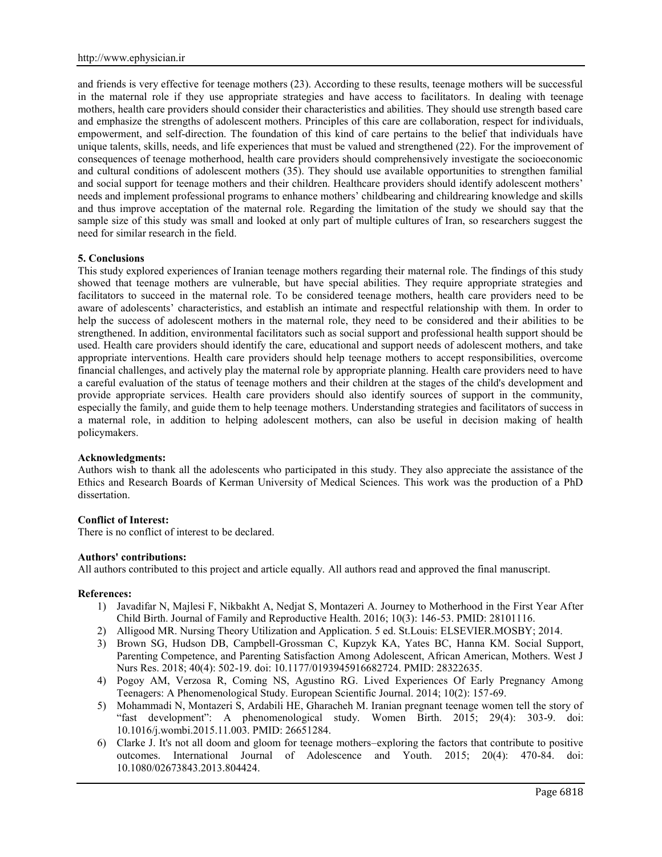and friends is very effective for teenage mothers (23). According to these results, teenage mothers will be successful in the maternal role if they use appropriate strategies and have access to facilitators. In dealing with teenage mothers, health care providers should consider their characteristics and abilities. They should use strength based care and emphasize the strengths of adolescent mothers. Principles of this care are collaboration, respect for individuals, empowerment, and self-direction. The foundation of this kind of care pertains to the belief that individuals have unique talents, skills, needs, and life experiences that must be valued and strengthened (22). For the improvement of consequences of teenage motherhood, health care providers should comprehensively investigate the socioeconomic and cultural conditions of adolescent mothers (35). They should use available opportunities to strengthen familial and social support for teenage mothers and their children. Healthcare providers should identify adolescent mothers' needs and implement professional programs to enhance mothers' childbearing and childrearing knowledge and skills and thus improve acceptation of the maternal role. Regarding the limitation of the study we should say that the sample size of this study was small and looked at only part of multiple cultures of Iran, so researchers suggest the need for similar research in the field.

## **5. Conclusions**

This study explored experiences of Iranian teenage mothers regarding their maternal role. The findings of this study showed that teenage mothers are vulnerable, but have special abilities. They require appropriate strategies and facilitators to succeed in the maternal role. To be considered teenage mothers, health care providers need to be aware of adolescents' characteristics, and establish an intimate and respectful relationship with them. In order to help the success of adolescent mothers in the maternal role, they need to be considered and their abilities to be strengthened. In addition, environmental facilitators such as social support and professional health support should be used. Health care providers should identify the care, educational and support needs of adolescent mothers, and take appropriate interventions. Health care providers should help teenage mothers to accept responsibilities, overcome financial challenges, and actively play the maternal role by appropriate planning. Health care providers need to have a careful evaluation of the status of teenage mothers and their children at the stages of the child's development and provide appropriate services. Health care providers should also identify sources of support in the community, especially the family, and guide them to help teenage mothers. Understanding strategies and facilitators of success in a maternal role, in addition to helping adolescent mothers, can also be useful in decision making of health policymakers.

### **Acknowledgments:**

Authors wish to thank all the adolescents who participated in this study. They also appreciate the assistance of the Ethics and Research Boards of Kerman University of Medical Sciences. This work was the production of a PhD dissertation.

### **Conflict of Interest:**

There is no conflict of interest to be declared.

### **Authors' contributions:**

All authors contributed to this project and article equally. All authors read and approved the final manuscript.

### **References:**

- 1) Javadifar N, Majlesi F, Nikbakht A, Nedjat S, Montazeri A. Journey to Motherhood in the First Year After Child Birth. Journal of Family and Reproductive Health. 2016; 10(3): 146-53. PMID: 28101116.
- 2) Alligood MR. Nursing Theory Utilization and Application. 5 ed. St.Louis: ELSEVIER.MOSBY; 2014.
- 3) Brown SG, Hudson DB, Campbell-Grossman C, Kupzyk KA, Yates BC, Hanna KM. Social Support, Parenting Competence, and Parenting Satisfaction Among Adolescent, African American, Mothers. West J Nurs Res. 2018; 40(4): 502-19. doi: 10.1177/0193945916682724. PMID: 28322635.
- 4) Pogoy AM, Verzosa R, Coming NS, Agustino RG. Lived Experiences Of Early Pregnancy Among Teenagers: A Phenomenological Study. European Scientific Journal. 2014; 10(2): 157-69.
- 5) Mohammadi N, Montazeri S, Ardabili HE, Gharacheh M. Iranian pregnant teenage women tell the story of "fast development": A phenomenological study. Women Birth. 2015; 29(4): 303-9. doi: 10.1016/j.wombi.2015.11.003. PMID: 26651284.
- 6) Clarke J. It's not all doom and gloom for teenage mothers–exploring the factors that contribute to positive outcomes. International Journal of Adolescence and Youth. 2015; 20(4): 470-84. doi: 10.1080/02673843.2013.804424.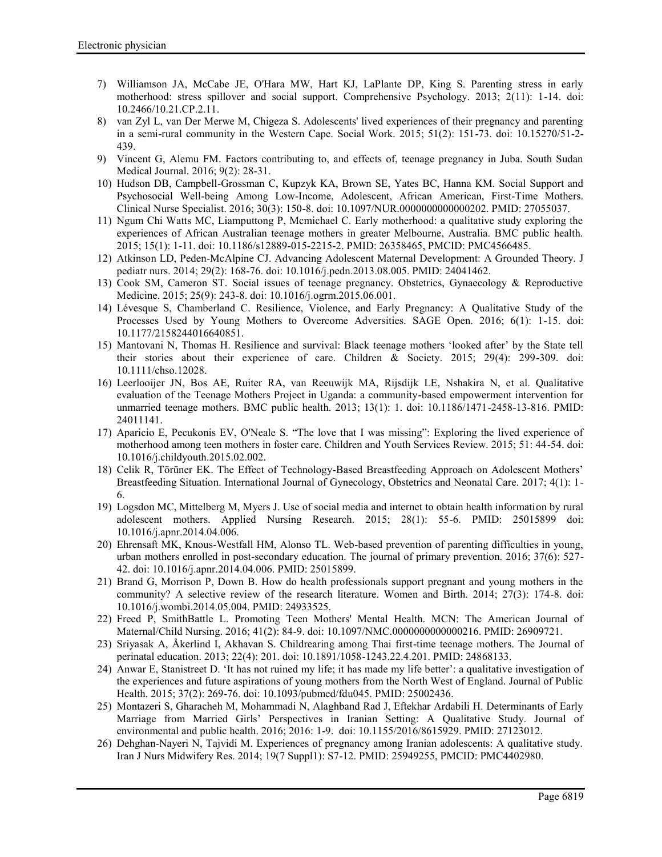- 7) Williamson JA, McCabe JE, O'Hara MW, Hart KJ, LaPlante DP, King S. Parenting stress in early motherhood: stress spillover and social support. Comprehensive Psychology. 2013; 2(11): 1-14. doi: 10.2466/10.21.CP.2.11.
- 8) van Zyl L, van Der Merwe M, Chigeza S. Adolescents' lived experiences of their pregnancy and parenting in a semi-rural community in the Western Cape. Social Work. 2015; 51(2): 151-73. doi: 10.15270/51-2- 439.
- 9) Vincent G, Alemu FM. Factors contributing to, and effects of, teenage pregnancy in Juba. South Sudan Medical Journal. 2016; 9(2): 28-31.
- 10) Hudson DB, Campbell-Grossman C, Kupzyk KA, Brown SE, Yates BC, Hanna KM. Social Support and Psychosocial Well-being Among Low-Income, Adolescent, African American, First-Time Mothers. Clinical Nurse Specialist. 2016; 30(3): 150-8. doi: 10.1097/NUR.0000000000000202. PMID: 27055037.
- 11) Ngum Chi Watts MC, Liamputtong P, Mcmichael C. Early motherhood: a qualitative study exploring the experiences of African Australian teenage mothers in greater Melbourne, Australia. BMC public health. 2015; 15(1): 1-11. doi: 10.1186/s12889-015-2215-2. PMID: 26358465, PMCID: PMC4566485.
- 12) Atkinson LD, Peden-McAlpine CJ. Advancing Adolescent Maternal Development: A Grounded Theory. J pediatr nurs. 2014; 29(2): 168-76. doi: 10.1016/j.pedn.2013.08.005. PMID: 24041462.
- 13) Cook SM, Cameron ST. Social issues of teenage pregnancy. Obstetrics, Gynaecology & Reproductive Medicine. 2015; 25(9): 243-8. doi: 10.1016/j.ogrm.2015.06.001.
- 14) Lévesque S, Chamberland C. Resilience, Violence, and Early Pregnancy: A Qualitative Study of the Processes Used by Young Mothers to Overcome Adversities. SAGE Open. 2016; 6(1): 1-15. doi: 10.1177/2158244016640851.
- 15) Mantovani N, Thomas H. Resilience and survival: Black teenage mothers 'looked after' by the State tell their stories about their experience of care. Children & Society. 2015; 29(4): 299-309. doi: 10.1111/chso.12028.
- 16) Leerlooijer JN, Bos AE, Ruiter RA, van Reeuwijk MA, Rijsdijk LE, Nshakira N, et al. Qualitative evaluation of the Teenage Mothers Project in Uganda: a community-based empowerment intervention for unmarried teenage mothers. BMC public health. 2013; 13(1): 1. doi: 10.1186/1471-2458-13-816. PMID: 24011141.
- 17) Aparicio E, Pecukonis EV, O'Neale S. "The love that I was missing": Exploring the lived experience of motherhood among teen mothers in foster care. Children and Youth Services Review. 2015; 51: 44-54. doi: 10.1016/j.childyouth.2015.02.002.
- 18) Celik R, Törüner EK. The Effect of Technology-Based Breastfeeding Approach on Adolescent Mothers' Breastfeeding Situation. International Journal of Gynecology, Obstetrics and Neonatal Care. 2017; 4(1): 1- 6.
- 19) Logsdon MC, Mittelberg M, Myers J. Use of social media and internet to obtain health information by rural adolescent mothers. Applied Nursing Research. 2015; 28(1): 55-6. PMID: 25015899 doi: 10.1016/j.apnr.2014.04.006.
- 20) Ehrensaft MK, Knous-Westfall HM, Alonso TL. Web-based prevention of parenting difficulties in young, urban mothers enrolled in post-secondary education. The journal of primary prevention. 2016; 37(6): 527- 42. doi: 10.1016/j.apnr.2014.04.006. PMID: 25015899.
- 21) Brand G, Morrison P, Down B. How do health professionals support pregnant and young mothers in the community? A selective review of the research literature. Women and Birth. 2014; 27(3): 174-8. doi: 10.1016/j.wombi.2014.05.004. PMID: 24933525.
- 22) Freed P, SmithBattle L. Promoting Teen Mothers' Mental Health. MCN: The American Journal of Maternal/Child Nursing. 2016; 41(2): 84-9. doi: 10.1097/NMC.0000000000000216. PMID: 26909721.
- 23) Sriyasak A, Åkerlind I, Akhavan S. Childrearing among Thai first-time teenage mothers. The Journal of perinatal education. 2013; 22(4): 201. doi: 10.1891/1058-1243.22.4.201. PMID: 24868133.
- 24) Anwar E, Stanistreet D. 'It has not ruined my life; it has made my life better': a qualitative investigation of the experiences and future aspirations of young mothers from the North West of England. Journal of Public Health. 2015; 37(2): 269-76. doi: 10.1093/pubmed/fdu045. PMID: 25002436.
- 25) Montazeri S, Gharacheh M, Mohammadi N, Alaghband Rad J, Eftekhar Ardabili H. Determinants of Early Marriage from Married Girls' Perspectives in Iranian Setting: A Qualitative Study. Journal of environmental and public health. 2016; 2016: 1-9. doi: 10.1155/2016/8615929. PMID: 27123012.
- 26) Dehghan-Nayeri N, Tajvidi M. Experiences of pregnancy among Iranian adolescents: A qualitative study. Iran J Nurs Midwifery Res. 2014; 19(7 Suppl1): S7-12. PMID: 25949255, PMCID: PMC4402980.